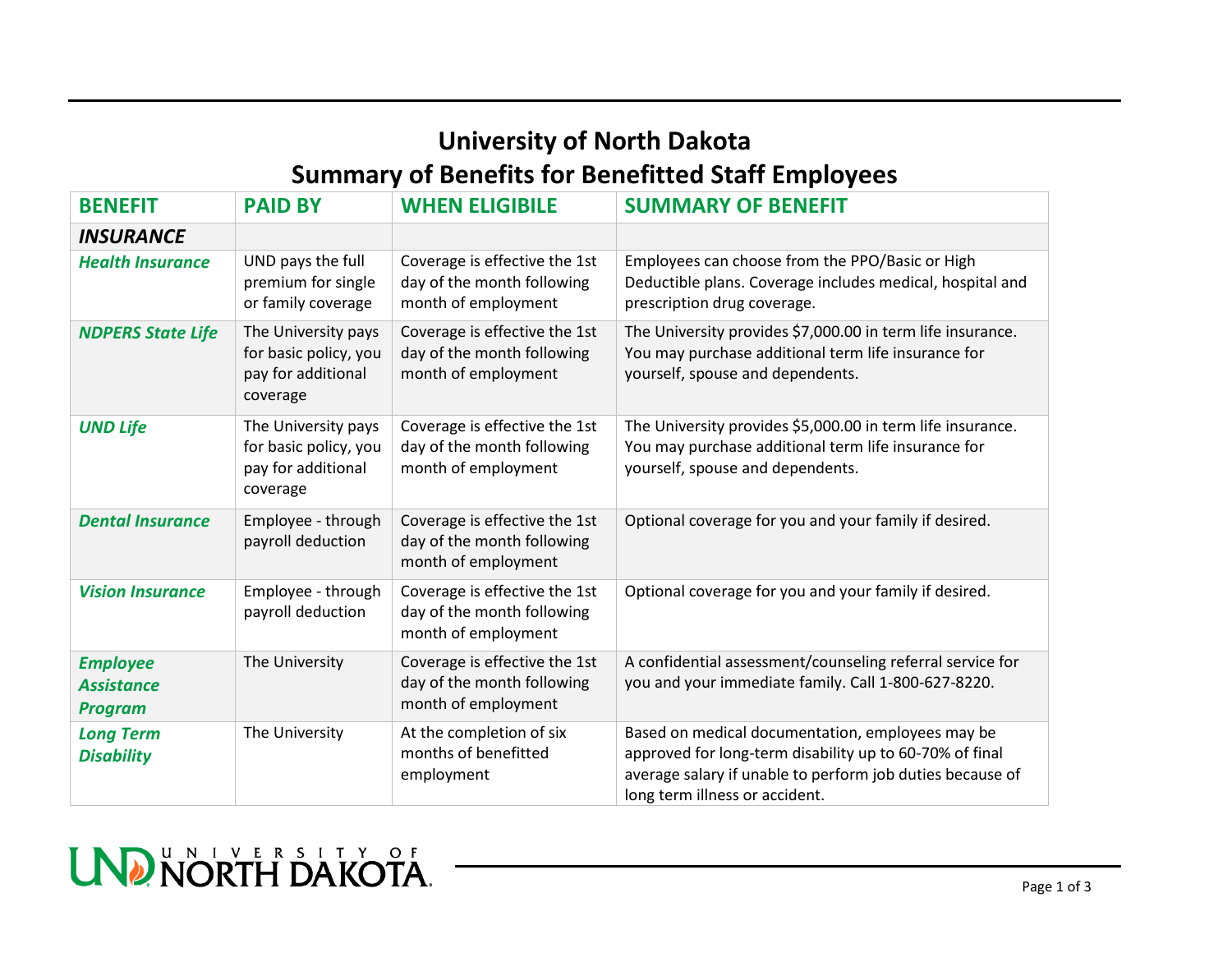## **University of North Dakota Summary of Benefits for Benefitted Staff Employees**

| <b>BENEFIT</b>                                         | <b>PAID BY</b>                                                                 | <b>WHEN ELIGIBILE</b>                                                              | <b>SUMMARY OF BENEFIT</b>                                                                                                                                                                                  |
|--------------------------------------------------------|--------------------------------------------------------------------------------|------------------------------------------------------------------------------------|------------------------------------------------------------------------------------------------------------------------------------------------------------------------------------------------------------|
| <b>INSURANCE</b>                                       |                                                                                |                                                                                    |                                                                                                                                                                                                            |
| <b>Health Insurance</b>                                | UND pays the full<br>premium for single<br>or family coverage                  | Coverage is effective the 1st<br>day of the month following<br>month of employment | Employees can choose from the PPO/Basic or High<br>Deductible plans. Coverage includes medical, hospital and<br>prescription drug coverage.                                                                |
| <b>NDPERS State Life</b>                               | The University pays<br>for basic policy, you<br>pay for additional<br>coverage | Coverage is effective the 1st<br>day of the month following<br>month of employment | The University provides \$7,000.00 in term life insurance.<br>You may purchase additional term life insurance for<br>yourself, spouse and dependents.                                                      |
| <b>UND Life</b>                                        | The University pays<br>for basic policy, you<br>pay for additional<br>coverage | Coverage is effective the 1st<br>day of the month following<br>month of employment | The University provides \$5,000.00 in term life insurance.<br>You may purchase additional term life insurance for<br>yourself, spouse and dependents.                                                      |
| <b>Dental Insurance</b>                                | Employee - through<br>payroll deduction                                        | Coverage is effective the 1st<br>day of the month following<br>month of employment | Optional coverage for you and your family if desired.                                                                                                                                                      |
| <b>Vision Insurance</b>                                | Employee - through<br>payroll deduction                                        | Coverage is effective the 1st<br>day of the month following<br>month of employment | Optional coverage for you and your family if desired.                                                                                                                                                      |
| <b>Employee</b><br><b>Assistance</b><br><b>Program</b> | The University                                                                 | Coverage is effective the 1st<br>day of the month following<br>month of employment | A confidential assessment/counseling referral service for<br>you and your immediate family. Call 1-800-627-8220.                                                                                           |
| <b>Long Term</b><br><b>Disability</b>                  | The University                                                                 | At the completion of six<br>months of benefitted<br>employment                     | Based on medical documentation, employees may be<br>approved for long-term disability up to 60-70% of final<br>average salary if unable to perform job duties because of<br>long term illness or accident. |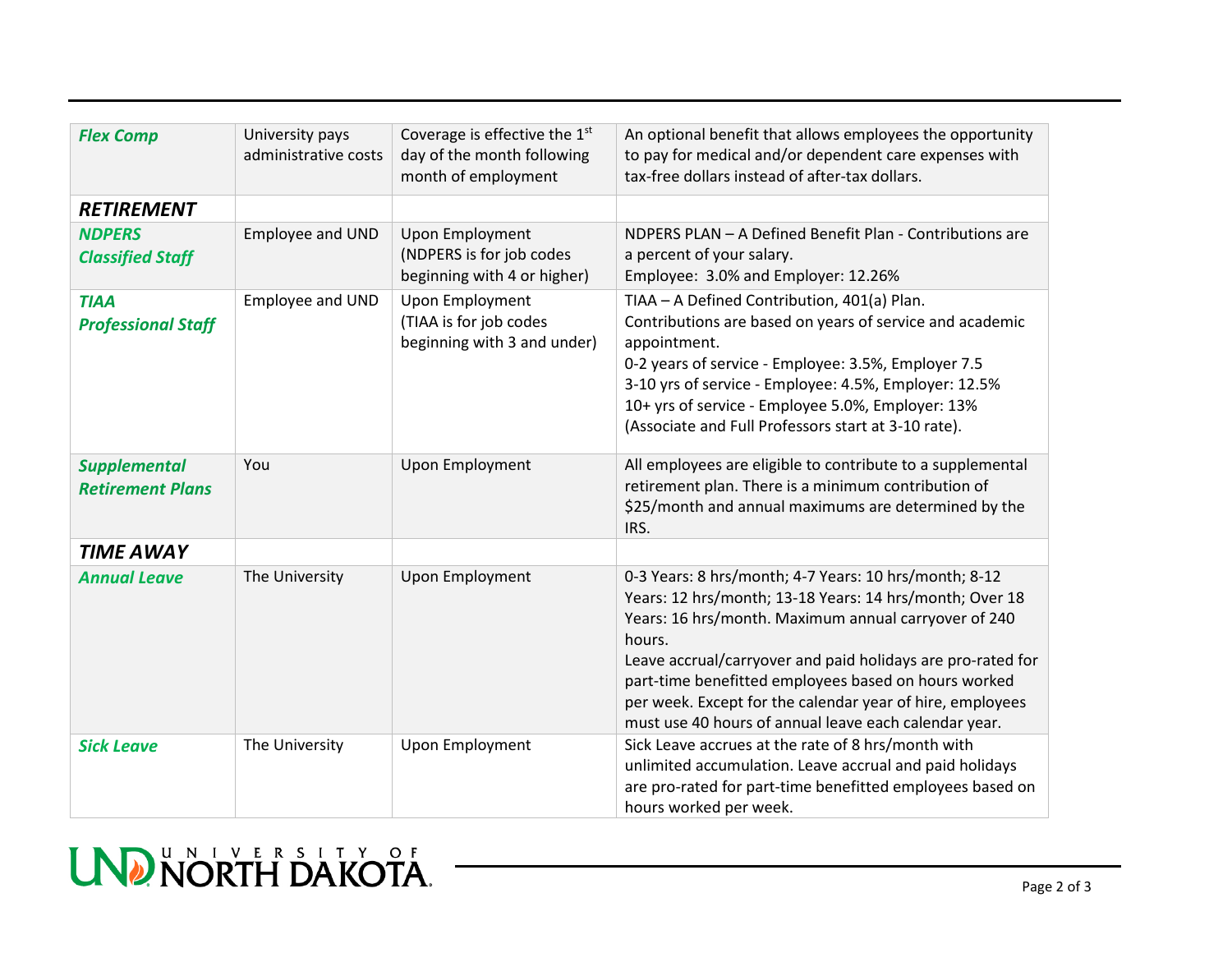| <b>Flex Comp</b>          | University pays      | Coverage is effective the $1st$                       | An optional benefit that allows employees the opportunity                                                     |
|---------------------------|----------------------|-------------------------------------------------------|---------------------------------------------------------------------------------------------------------------|
|                           | administrative costs | day of the month following                            | to pay for medical and/or dependent care expenses with                                                        |
|                           |                      | month of employment                                   | tax-free dollars instead of after-tax dollars.                                                                |
| <b>RETIREMENT</b>         |                      |                                                       |                                                                                                               |
| <b>NDPERS</b>             | Employee and UND     | Upon Employment                                       | NDPERS PLAN - A Defined Benefit Plan - Contributions are                                                      |
| <b>Classified Staff</b>   |                      | (NDPERS is for job codes                              | a percent of your salary.                                                                                     |
|                           |                      | beginning with 4 or higher)                           | Employee: 3.0% and Employer: 12.26%                                                                           |
| <b>TIAA</b>               | Employee and UND     | <b>Upon Employment</b>                                | TIAA - A Defined Contribution, 401(a) Plan.                                                                   |
| <b>Professional Staff</b> |                      | (TIAA is for job codes<br>beginning with 3 and under) | Contributions are based on years of service and academic<br>appointment.                                      |
|                           |                      |                                                       | 0-2 years of service - Employee: 3.5%, Employer 7.5                                                           |
|                           |                      |                                                       | 3-10 yrs of service - Employee: 4.5%, Employer: 12.5%                                                         |
|                           |                      |                                                       | 10+ yrs of service - Employee 5.0%, Employer: 13%                                                             |
|                           |                      |                                                       | (Associate and Full Professors start at 3-10 rate).                                                           |
| <b>Supplemental</b>       | You                  | Upon Employment                                       | All employees are eligible to contribute to a supplemental                                                    |
| <b>Retirement Plans</b>   |                      |                                                       | retirement plan. There is a minimum contribution of                                                           |
|                           |                      |                                                       | \$25/month and annual maximums are determined by the<br>IRS.                                                  |
| <b>TIME AWAY</b>          |                      |                                                       |                                                                                                               |
| <b>Annual Leave</b>       | The University       | <b>Upon Employment</b>                                | 0-3 Years: 8 hrs/month; 4-7 Years: 10 hrs/month; 8-12                                                         |
|                           |                      |                                                       | Years: 12 hrs/month; 13-18 Years: 14 hrs/month; Over 18                                                       |
|                           |                      |                                                       | Years: 16 hrs/month. Maximum annual carryover of 240<br>hours.                                                |
|                           |                      |                                                       | Leave accrual/carryover and paid holidays are pro-rated for                                                   |
|                           |                      |                                                       | part-time benefitted employees based on hours worked                                                          |
|                           |                      |                                                       | per week. Except for the calendar year of hire, employees                                                     |
|                           |                      |                                                       | must use 40 hours of annual leave each calendar year.                                                         |
| <b>Sick Leave</b>         | The University       | Upon Employment                                       | Sick Leave accrues at the rate of 8 hrs/month with<br>unlimited accumulation. Leave accrual and paid holidays |
|                           |                      |                                                       | are pro-rated for part-time benefitted employees based on                                                     |
|                           |                      |                                                       | hours worked per week.                                                                                        |